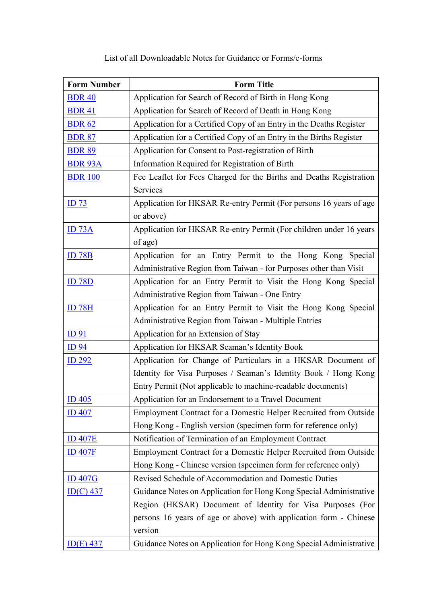## List of all Downloadable Notes for Guidance or Forms/e-forms

| <b>Form Number</b> | <b>Form Title</b>                                                   |
|--------------------|---------------------------------------------------------------------|
| <b>BDR 40</b>      | Application for Search of Record of Birth in Hong Kong              |
| <b>BDR 41</b>      | Application for Search of Record of Death in Hong Kong              |
| <b>BDR 62</b>      | Application for a Certified Copy of an Entry in the Deaths Register |
| <b>BDR 87</b>      | Application for a Certified Copy of an Entry in the Births Register |
| <b>BDR 89</b>      | Application for Consent to Post-registration of Birth               |
| <b>BDR 93A</b>     | Information Required for Registration of Birth                      |
| <b>BDR 100</b>     | Fee Leaflet for Fees Charged for the Births and Deaths Registration |
|                    | Services                                                            |
| ID <sub>73</sub>   | Application for HKSAR Re-entry Permit (For persons 16 years of age  |
|                    | or above)                                                           |
| <u>ID 73A</u>      | Application for HKSAR Re-entry Permit (For children under 16 years  |
|                    | of age)                                                             |
| ID 78B             | Application for an Entry Permit to the Hong Kong Special            |
|                    | Administrative Region from Taiwan - for Purposes other than Visit   |
| <b>ID 78D</b>      | Application for an Entry Permit to Visit the Hong Kong Special      |
|                    | Administrative Region from Taiwan - One Entry                       |
| <b>ID 78H</b>      | Application for an Entry Permit to Visit the Hong Kong Special      |
|                    | Administrative Region from Taiwan - Multiple Entries                |
| ID <sub>91</sub>   | Application for an Extension of Stay                                |
| <b>ID</b> 94       | Application for HKSAR Seaman's Identity Book                        |
| ID 292             | Application for Change of Particulars in a HKSAR Document of        |
|                    | Identity for Visa Purposes / Seaman's Identity Book / Hong Kong     |
|                    | Entry Permit (Not applicable to machine-readable documents)         |
| ID 405             | Application for an Endorsement to a Travel Document                 |
| <b>ID 407</b>      | Employment Contract for a Domestic Helper Recruited from Outside    |
|                    | Hong Kong - English version (specimen form for reference only)      |
| <b>ID 407E</b>     | Notification of Termination of an Employment Contract               |
| <b>ID 407F</b>     | Employment Contract for a Domestic Helper Recruited from Outside    |
|                    | Hong Kong - Chinese version (specimen form for reference only)      |
| <b>ID 407G</b>     | Revised Schedule of Accommodation and Domestic Duties               |
| $ID(C)$ 437        | Guidance Notes on Application for Hong Kong Special Administrative  |
|                    | Region (HKSAR) Document of Identity for Visa Purposes (For          |
|                    | persons 16 years of age or above) with application form - Chinese   |
|                    | version                                                             |
| $ID(E)$ 437        | Guidance Notes on Application for Hong Kong Special Administrative  |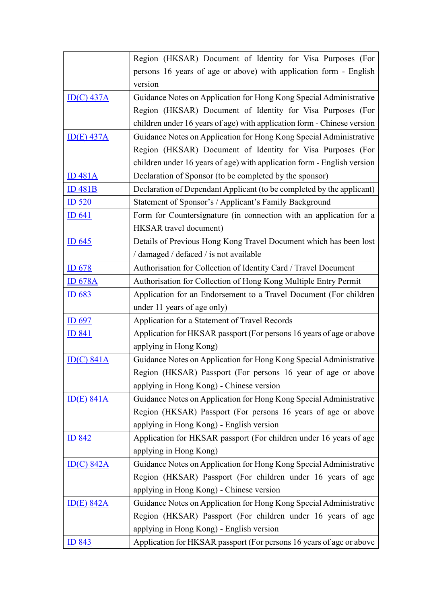|                          | Region (HKSAR) Document of Identity for Visa Purposes (For              |
|--------------------------|-------------------------------------------------------------------------|
|                          | persons 16 years of age or above) with application form - English       |
|                          | version                                                                 |
| $\underline{ID(C)}$ 437A | Guidance Notes on Application for Hong Kong Special Administrative      |
|                          | Region (HKSAR) Document of Identity for Visa Purposes (For              |
|                          | children under 16 years of age) with application form - Chinese version |
| $ID(E)$ 437A             | Guidance Notes on Application for Hong Kong Special Administrative      |
|                          | Region (HKSAR) Document of Identity for Visa Purposes (For              |
|                          | children under 16 years of age) with application form - English version |
| <b>ID 481A</b>           | Declaration of Sponsor (to be completed by the sponsor)                 |
| $ID$ 481 $B$             | Declaration of Dependant Applicant (to be completed by the applicant)   |
| ID 520                   | Statement of Sponsor's / Applicant's Family Background                  |
| ID 641                   | Form for Countersignature (in connection with an application for a      |
|                          | <b>HKSAR</b> travel document)                                           |
| ID $645$                 | Details of Previous Hong Kong Travel Document which has been lost       |
|                          | / damaged / defaced / is not available                                  |
| ID 678                   | Authorisation for Collection of Identity Card / Travel Document         |
| <b>ID 678A</b>           | Authorisation for Collection of Hong Kong Multiple Entry Permit         |
| ID 683                   | Application for an Endorsement to a Travel Document (For children       |
|                          | under 11 years of age only)                                             |
| ID 697                   | Application for a Statement of Travel Records                           |
| <u>ID 841</u>            | Application for HKSAR passport (For persons 16 years of age or above    |
|                          | applying in Hong Kong)                                                  |
| ID(C) 841A               | Guidance Notes on Application for Hong Kong Special Administrative      |
|                          | Region (HKSAR) Passport (For persons 16 year of age or above            |
|                          | applying in Hong Kong) - Chinese version                                |
| $ID(E)$ 841A             | Guidance Notes on Application for Hong Kong Special Administrative      |
|                          | Region (HKSAR) Passport (For persons 16 years of age or above           |
|                          | applying in Hong Kong) - English version                                |
| <b>ID 842</b>            | Application for HKSAR passport (For children under 16 years of age      |
|                          | applying in Hong Kong)                                                  |
| ID(C) 842A               | Guidance Notes on Application for Hong Kong Special Administrative      |
|                          | Region (HKSAR) Passport (For children under 16 years of age             |
|                          | applying in Hong Kong) - Chinese version                                |
| ID(E) 842A               | Guidance Notes on Application for Hong Kong Special Administrative      |
|                          | Region (HKSAR) Passport (For children under 16 years of age             |
|                          | applying in Hong Kong) - English version                                |
| ID 843                   | Application for HKSAR passport (For persons 16 years of age or above    |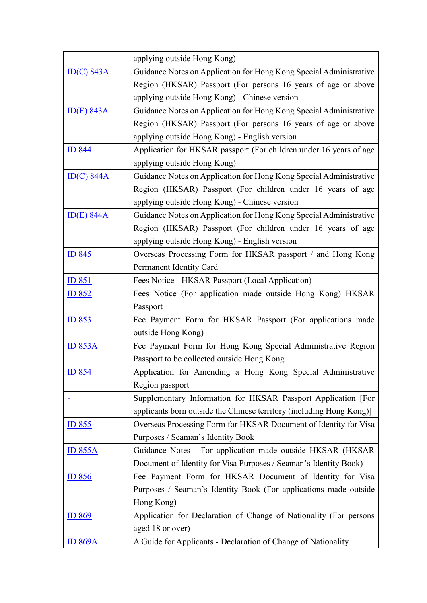|                          | applying outside Hong Kong)                                          |
|--------------------------|----------------------------------------------------------------------|
| $\underline{ID(C)}$ 843A | Guidance Notes on Application for Hong Kong Special Administrative   |
|                          | Region (HKSAR) Passport (For persons 16 years of age or above        |
|                          | applying outside Hong Kong) - Chinese version                        |
| ID(E) 843A               | Guidance Notes on Application for Hong Kong Special Administrative   |
|                          | Region (HKSAR) Passport (For persons 16 years of age or above        |
|                          | applying outside Hong Kong) - English version                        |
| <b>ID 844</b>            | Application for HKSAR passport (For children under 16 years of age   |
|                          | applying outside Hong Kong)                                          |
| ID(C) 844A               | Guidance Notes on Application for Hong Kong Special Administrative   |
|                          | Region (HKSAR) Passport (For children under 16 years of age          |
|                          | applying outside Hong Kong) - Chinese version                        |
| $\underline{ID(E)}$ 844A | Guidance Notes on Application for Hong Kong Special Administrative   |
|                          | Region (HKSAR) Passport (For children under 16 years of age          |
|                          | applying outside Hong Kong) - English version                        |
| <b>ID 845</b>            | Overseas Processing Form for HKSAR passport / and Hong Kong          |
|                          | Permanent Identity Card                                              |
| ID 851                   | Fees Notice - HKSAR Passport (Local Application)                     |
| <u>ID 852</u>            | Fees Notice (For application made outside Hong Kong) HKSAR           |
|                          | Passport                                                             |
| $ID$ 853                 | Fee Payment Form for HKSAR Passport (For applications made           |
|                          | outside Hong Kong)                                                   |
| <u>ID 853A</u>           | Fee Payment Form for Hong Kong Special Administrative Region         |
|                          | Passport to be collected outside Hong Kong                           |
| <b>ID 854</b>            | Application for Amending a Hong Kong Special Administrative          |
|                          | Region passport                                                      |
|                          | Supplementary Information for HKSAR Passport Application [For        |
|                          | applicants born outside the Chinese territory (including Hong Kong)] |
| ID 855                   | Overseas Processing Form for HKSAR Document of Identity for Visa     |
|                          | Purposes / Seaman's Identity Book                                    |
| <b>ID 855A</b>           | Guidance Notes - For application made outside HKSAR (HKSAR           |
|                          | Document of Identity for Visa Purposes / Seaman's Identity Book)     |
| $ID$ 856                 | Fee Payment Form for HKSAR Document of Identity for Visa             |
|                          | Purposes / Seaman's Identity Book (For applications made outside     |
|                          | Hong Kong)                                                           |
| ID 869                   | Application for Declaration of Change of Nationality (For persons    |
|                          | aged 18 or over)                                                     |
| <b>ID 869A</b>           | A Guide for Applicants - Declaration of Change of Nationality        |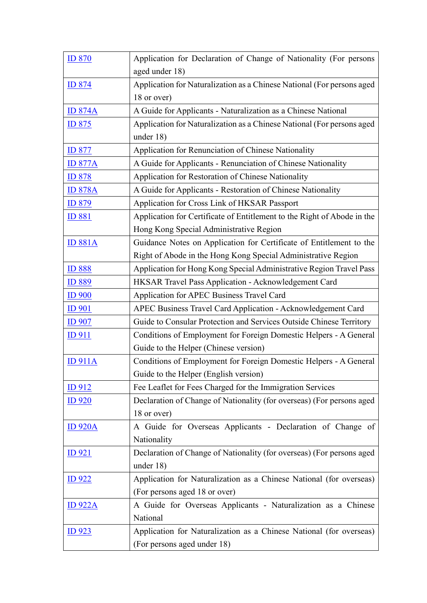| <b>ID 870</b>  | Application for Declaration of Change of Nationality (For persons       |
|----------------|-------------------------------------------------------------------------|
|                | aged under 18)                                                          |
| <b>ID 874</b>  | Application for Naturalization as a Chinese National (For persons aged  |
|                | 18 or over)                                                             |
| <b>ID 874A</b> | A Guide for Applicants - Naturalization as a Chinese National           |
| <u>ID 875</u>  | Application for Naturalization as a Chinese National (For persons aged  |
|                | under $18$ )                                                            |
| <b>ID 877</b>  | Application for Renunciation of Chinese Nationality                     |
| <b>ID 877A</b> | A Guide for Applicants - Renunciation of Chinese Nationality            |
| <b>ID 878</b>  | Application for Restoration of Chinese Nationality                      |
| <b>ID 878A</b> | A Guide for Applicants - Restoration of Chinese Nationality             |
| ID 879         | Application for Cross Link of HKSAR Passport                            |
| <b>ID 881</b>  | Application for Certificate of Entitlement to the Right of Abode in the |
|                | Hong Kong Special Administrative Region                                 |
| <b>ID 881A</b> | Guidance Notes on Application for Certificate of Entitlement to the     |
|                | Right of Abode in the Hong Kong Special Administrative Region           |
| <b>ID 888</b>  | Application for Hong Kong Special Administrative Region Travel Pass     |
| <b>ID 889</b>  | HKSAR Travel Pass Application - Acknowledgement Card                    |
| $ID$ 900       | Application for APEC Business Travel Card                               |
| <b>ID</b> 901  | APEC Business Travel Card Application - Acknowledgement Card            |
| <b>ID 907</b>  | Guide to Consular Protection and Services Outside Chinese Territory     |
| <u>ID 911</u>  | Conditions of Employment for Foreign Domestic Helpers - A General       |
|                | Guide to the Helper (Chinese version)                                   |
| <b>ID 911A</b> | Conditions of Employment for Foreign Domestic Helpers - A General       |
|                | Guide to the Helper (English version)                                   |
| ID912          | Fee Leaflet for Fees Charged for the Immigration Services               |
| <u>ID 920</u>  | Declaration of Change of Nationality (for overseas) (For persons aged   |
|                | 18 or over)                                                             |
| <b>ID 920A</b> | A Guide for Overseas Applicants - Declaration of Change of              |
|                | Nationality                                                             |
| <u>ID 921</u>  | Declaration of Change of Nationality (for overseas) (For persons aged   |
|                | under 18)                                                               |
| <u>ID 922</u>  | Application for Naturalization as a Chinese National (for overseas)     |
|                | (For persons aged 18 or over)                                           |
| <b>ID 922A</b> | A Guide for Overseas Applicants - Naturalization as a Chinese           |
|                | National                                                                |
| <u>ID 923</u>  | Application for Naturalization as a Chinese National (for overseas)     |
|                | (For persons aged under 18)                                             |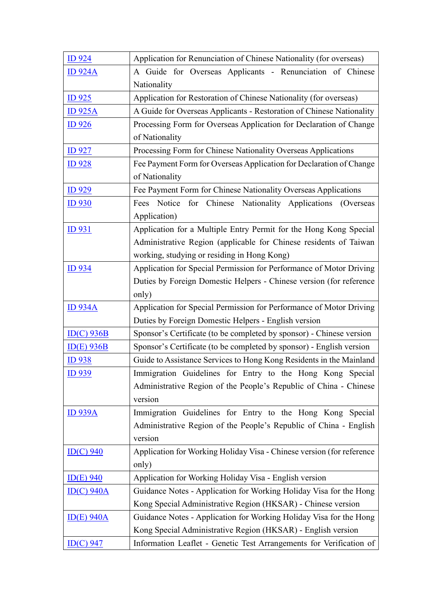| <b>ID 924</b>            | Application for Renunciation of Chinese Nationality (for overseas)    |
|--------------------------|-----------------------------------------------------------------------|
| <b>ID 924A</b>           | A Guide for Overseas Applicants - Renunciation of Chinese             |
|                          | Nationality                                                           |
| <b>ID</b> 925            | Application for Restoration of Chinese Nationality (for overseas)     |
| <u>ID 925A</u>           | A Guide for Overseas Applicants - Restoration of Chinese Nationality  |
| ID926                    | Processing Form for Overseas Application for Declaration of Change    |
|                          | of Nationality                                                        |
| <b>ID</b> 927            | Processing Form for Chinese Nationality Overseas Applications         |
| <u>ID 928</u>            | Fee Payment Form for Overseas Application for Declaration of Change   |
|                          | of Nationality                                                        |
| <b>ID</b> 929            | Fee Payment Form for Chinese Nationality Overseas Applications        |
| ID <sub>930</sub>        | Fees Notice for Chinese Nationality Applications<br>(Overseas)        |
|                          | Application)                                                          |
| <u>ID 931</u>            | Application for a Multiple Entry Permit for the Hong Kong Special     |
|                          | Administrative Region (applicable for Chinese residents of Taiwan     |
|                          | working, studying or residing in Hong Kong)                           |
| ID 934                   | Application for Special Permission for Performance of Motor Driving   |
|                          | Duties by Foreign Domestic Helpers - Chinese version (for reference   |
|                          | only)                                                                 |
| <b>ID 934A</b>           | Application for Special Permission for Performance of Motor Driving   |
|                          | Duties by Foreign Domestic Helpers - English version                  |
| $ID(C)$ 936B             | Sponsor's Certificate (to be completed by sponsor) - Chinese version  |
| $ID(E)$ 936B             | Sponsor's Certificate (to be completed by sponsor) - English version  |
| <u>ID938</u>             | Guide to Assistance Services to Hong Kong Residents in the Mainland   |
| ID 939                   | Immigration Guidelines for Entry to the Hong Kong Special             |
|                          | Administrative Region of the People's Republic of China - Chinese     |
|                          | version                                                               |
| <b>ID 939A</b>           | Immigration Guidelines for Entry to the Hong Kong Special             |
|                          | Administrative Region of the People's Republic of China - English     |
|                          | version                                                               |
| $\underline{ID(C)}$ 940  | Application for Working Holiday Visa - Chinese version (for reference |
|                          | only)                                                                 |
| $ID(E)$ 940              | Application for Working Holiday Visa - English version                |
| $\underline{ID(C)}$ 940A | Guidance Notes - Application for Working Holiday Visa for the Hong    |
|                          | Kong Special Administrative Region (HKSAR) - Chinese version          |
| $ID(E)$ 940A             | Guidance Notes - Application for Working Holiday Visa for the Hong    |
|                          | Kong Special Administrative Region (HKSAR) - English version          |
| $ID(C)$ 947              | Information Leaflet - Genetic Test Arrangements for Verification of   |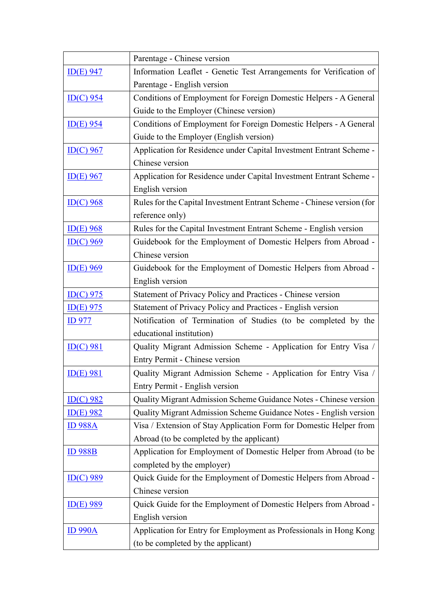|                         | Parentage - Chinese version                                            |
|-------------------------|------------------------------------------------------------------------|
| $ID(E)$ 947             | Information Leaflet - Genetic Test Arrangements for Verification of    |
|                         | Parentage - English version                                            |
| $ID(C)$ 954             | Conditions of Employment for Foreign Domestic Helpers - A General      |
|                         | Guide to the Employer (Chinese version)                                |
| $ID(E)$ 954             | Conditions of Employment for Foreign Domestic Helpers - A General      |
|                         | Guide to the Employer (English version)                                |
| $ID(C)$ 967             | Application for Residence under Capital Investment Entrant Scheme -    |
|                         | Chinese version                                                        |
| $ID(E)$ 967             | Application for Residence under Capital Investment Entrant Scheme -    |
|                         | English version                                                        |
| $ID(C)$ 968             | Rules for the Capital Investment Entrant Scheme - Chinese version (for |
|                         | reference only)                                                        |
| $ID(E)$ 968             | Rules for the Capital Investment Entrant Scheme - English version      |
| $ID(C)$ 969             | Guidebook for the Employment of Domestic Helpers from Abroad -         |
|                         | Chinese version                                                        |
| $ID(E)$ 969             | Guidebook for the Employment of Domestic Helpers from Abroad -         |
|                         | English version                                                        |
| $ID(C)$ 975             | Statement of Privacy Policy and Practices - Chinese version            |
| $ID(E)$ 975             | Statement of Privacy Policy and Practices - English version            |
| <b>ID</b> 977           | Notification of Termination of Studies (to be completed by the         |
|                         | educational institution)                                               |
| $ID(C)$ 981             | Quality Migrant Admission Scheme - Application for Entry Visa /        |
|                         | Entry Permit - Chinese version                                         |
| $ID(E)$ 981             | Quality Migrant Admission Scheme - Application for Entry Visa /        |
|                         | Entry Permit - English version                                         |
| $ID(C)$ 982             | Quality Migrant Admission Scheme Guidance Notes - Chinese version      |
| $ID(E)$ 982             | Quality Migrant Admission Scheme Guidance Notes - English version      |
| <u>ID 988A</u>          | Visa / Extension of Stay Application Form for Domestic Helper from     |
|                         | Abroad (to be completed by the applicant)                              |
| <b>ID 988B</b>          | Application for Employment of Domestic Helper from Abroad (to be       |
|                         | completed by the employer)                                             |
| $\underline{ID(C)}$ 989 | Quick Guide for the Employment of Domestic Helpers from Abroad -       |
|                         | Chinese version                                                        |
| $ID(E)$ 989             | Quick Guide for the Employment of Domestic Helpers from Abroad -       |
|                         | English version                                                        |
| <b>ID 990A</b>          | Application for Entry for Employment as Professionals in Hong Kong     |
|                         | (to be completed by the applicant)                                     |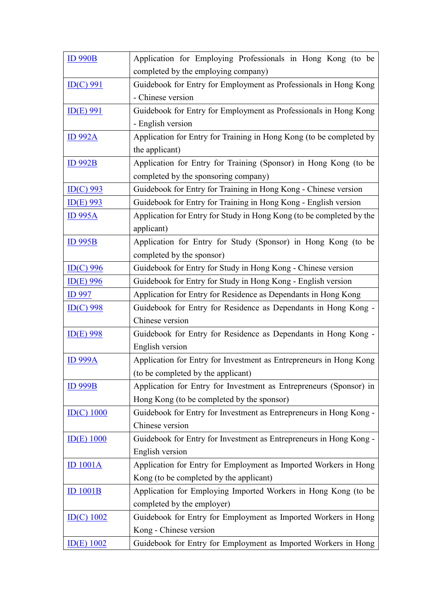| <b>ID 990B</b>                 | Application for Employing Professionals in Hong Kong (to be          |
|--------------------------------|----------------------------------------------------------------------|
|                                | completed by the employing company)                                  |
| $ID(C)$ 991                    | Guidebook for Entry for Employment as Professionals in Hong Kong     |
|                                | - Chinese version                                                    |
| $ID(E)$ 991                    | Guidebook for Entry for Employment as Professionals in Hong Kong     |
|                                | - English version                                                    |
| <b>ID 992A</b>                 | Application for Entry for Training in Hong Kong (to be completed by  |
|                                | the applicant)                                                       |
| <b>ID 992B</b>                 | Application for Entry for Training (Sponsor) in Hong Kong (to be     |
|                                | completed by the sponsoring company)                                 |
| $\underline{\text{ID}(C)}$ 993 | Guidebook for Entry for Training in Hong Kong - Chinese version      |
| $ID(E)$ 993                    | Guidebook for Entry for Training in Hong Kong - English version      |
| <b>ID 995A</b>                 | Application for Entry for Study in Hong Kong (to be completed by the |
|                                | applicant)                                                           |
| <b>ID 995B</b>                 | Application for Entry for Study (Sponsor) in Hong Kong (to be        |
|                                | completed by the sponsor)                                            |
| $ID(C)$ 996                    | Guidebook for Entry for Study in Hong Kong - Chinese version         |
| $ID(E)$ 996                    | Guidebook for Entry for Study in Hong Kong - English version         |
| <b>ID</b> 997                  | Application for Entry for Residence as Dependants in Hong Kong       |
| $\underline{ID(C)}$ 998        | Guidebook for Entry for Residence as Dependants in Hong Kong -       |
|                                | Chinese version                                                      |
| $ID(E)$ 998                    | Guidebook for Entry for Residence as Dependants in Hong Kong -       |
|                                | English version                                                      |
| <u>ID 999A</u>                 | Application for Entry for Investment as Entrepreneurs in Hong Kong   |
|                                | (to be completed by the applicant)                                   |
| <b>ID 999B</b>                 | Application for Entry for Investment as Entrepreneurs (Sponsor) in   |
|                                | Hong Kong (to be completed by the sponsor)                           |
| $ID(C)$ 1000                   | Guidebook for Entry for Investment as Entrepreneurs in Hong Kong -   |
|                                | Chinese version                                                      |
| $ID(E)$ 1000                   | Guidebook for Entry for Investment as Entrepreneurs in Hong Kong -   |
|                                | English version                                                      |
| <b>ID 1001A</b>                | Application for Entry for Employment as Imported Workers in Hong     |
|                                | Kong (to be completed by the applicant)                              |
| <b>ID 1001B</b>                | Application for Employing Imported Workers in Hong Kong (to be       |
|                                | completed by the employer)                                           |
| $ID(C)$ 1002                   | Guidebook for Entry for Employment as Imported Workers in Hong       |
|                                | Kong - Chinese version                                               |
| $ID(E)$ 1002                   | Guidebook for Entry for Employment as Imported Workers in Hong       |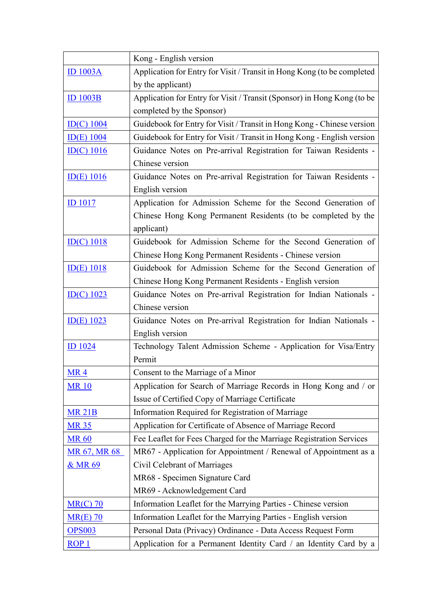|                                 | Kong - English version                                                  |
|---------------------------------|-------------------------------------------------------------------------|
| <b>ID 1003A</b>                 | Application for Entry for Visit / Transit in Hong Kong (to be completed |
|                                 | by the applicant)                                                       |
| $ID$ 1003B                      | Application for Entry for Visit / Transit (Sponsor) in Hong Kong (to be |
|                                 | completed by the Sponsor)                                               |
| $ID(C)$ 1004                    | Guidebook for Entry for Visit / Transit in Hong Kong - Chinese version  |
| $ID(E)$ 1004                    | Guidebook for Entry for Visit / Transit in Hong Kong - English version  |
| $\underline{ID(C)}$ 1016        | Guidance Notes on Pre-arrival Registration for Taiwan Residents -       |
|                                 | Chinese version                                                         |
| $\underline{ID(E)}$ 1016        | Guidance Notes on Pre-arrival Registration for Taiwan Residents -       |
|                                 | English version                                                         |
| $ID$ 1017                       | Application for Admission Scheme for the Second Generation of           |
|                                 | Chinese Hong Kong Permanent Residents (to be completed by the           |
|                                 | applicant)                                                              |
| $\underline{\text{ID}(C)}$ 1018 | Guidebook for Admission Scheme for the Second Generation of             |
|                                 | Chinese Hong Kong Permanent Residents - Chinese version                 |
| $\underline{ID(E)}$ 1018        | Guidebook for Admission Scheme for the Second Generation of             |
|                                 | Chinese Hong Kong Permanent Residents - English version                 |
| ID(C) 1023                      | Guidance Notes on Pre-arrival Registration for Indian Nationals -       |
|                                 | Chinese version                                                         |
| $ID(E)$ 1023                    | Guidance Notes on Pre-arrival Registration for Indian Nationals -       |
|                                 | English version                                                         |
| <b>ID</b> 1024                  | Technology Talent Admission Scheme - Application for Visa/Entry         |
|                                 | Permit                                                                  |
| MR4                             | Consent to the Marriage of a Minor                                      |
| <b>MR10</b>                     | Application for Search of Marriage Records in Hong Kong and / or        |
|                                 | Issue of Certified Copy of Marriage Certificate                         |
| <b>MR 21B</b>                   | Information Required for Registration of Marriage                       |
| <b>MR 35</b>                    | Application for Certificate of Absence of Marriage Record               |
| <b>MR 60</b>                    | Fee Leaflet for Fees Charged for the Marriage Registration Services     |
| <b>MR 67, MR 68</b>             | MR67 - Application for Appointment / Renewal of Appointment as a        |
| <u>&amp; MR 69</u>              | Civil Celebrant of Marriages                                            |
|                                 | MR68 - Specimen Signature Card                                          |
|                                 | MR69 - Acknowledgement Card                                             |
| $MR(C)$ 70                      | Information Leaflet for the Marrying Parties - Chinese version          |
| $MR(E)$ 70                      | Information Leaflet for the Marrying Parties - English version          |
| <b>OPS003</b>                   | Personal Data (Privacy) Ordinance - Data Access Request Form            |
| ROP <sub>1</sub>                | Application for a Permanent Identity Card / an Identity Card by a       |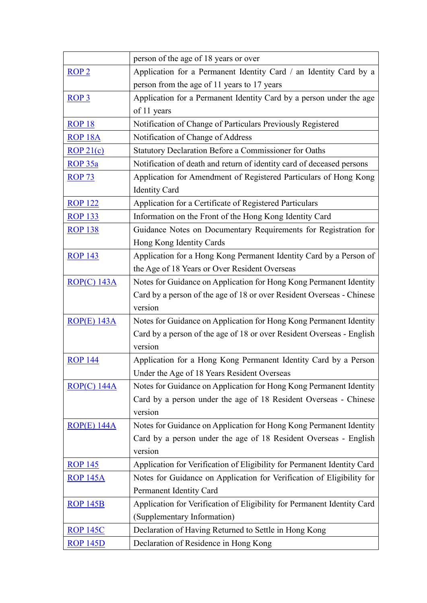|                    | person of the age of 18 years or over                                                    |
|--------------------|------------------------------------------------------------------------------------------|
| ROP <sub>2</sub>   | Application for a Permanent Identity Card / an Identity Card by a                        |
|                    | person from the age of 11 years to 17 years                                              |
| ROP <sub>3</sub>   | Application for a Permanent Identity Card by a person under the age                      |
|                    | of 11 years                                                                              |
| <b>ROP 18</b>      | Notification of Change of Particulars Previously Registered                              |
| <b>ROP 18A</b>     | Notification of Change of Address                                                        |
| ROP21(c)           | Statutory Declaration Before a Commissioner for Oaths                                    |
| ROP 35a            | Notification of death and return of identity card of deceased persons                    |
| <b>ROP 73</b>      | Application for Amendment of Registered Particulars of Hong Kong<br><b>Identity Card</b> |
| <b>ROP 122</b>     | Application for a Certificate of Registered Particulars                                  |
| <b>ROP 133</b>     | Information on the Front of the Hong Kong Identity Card                                  |
| <b>ROP 138</b>     | Guidance Notes on Documentary Requirements for Registration for                          |
|                    | Hong Kong Identity Cards                                                                 |
| <b>ROP 143</b>     | Application for a Hong Kong Permanent Identity Card by a Person of                       |
|                    | the Age of 18 Years or Over Resident Overseas                                            |
| ROP(C) 143A        | Notes for Guidance on Application for Hong Kong Permanent Identity                       |
|                    | Card by a person of the age of 18 or over Resident Overseas - Chinese                    |
|                    | version                                                                                  |
| <b>ROP(E) 143A</b> | Notes for Guidance on Application for Hong Kong Permanent Identity                       |
|                    | Card by a person of the age of 18 or over Resident Overseas - English                    |
|                    | version                                                                                  |
| <b>ROP 144</b>     | Application for a Hong Kong Permanent Identity Card by a Person                          |
|                    | Under the Age of 18 Years Resident Overseas                                              |
| $ROP(C)$ 144A      | Notes for Guidance on Application for Hong Kong Permanent Identity                       |
|                    | Card by a person under the age of 18 Resident Overseas - Chinese                         |
|                    | version                                                                                  |
| $ROP(E)$ 144A      | Notes for Guidance on Application for Hong Kong Permanent Identity                       |
|                    | Card by a person under the age of 18 Resident Overseas - English                         |
|                    | version                                                                                  |
| <b>ROP 145</b>     | Application for Verification of Eligibility for Permanent Identity Card                  |
| <b>ROP 145A</b>    | Notes for Guidance on Application for Verification of Eligibility for                    |
|                    | Permanent Identity Card                                                                  |
| <b>ROP 145B</b>    | Application for Verification of Eligibility for Permanent Identity Card                  |
|                    | (Supplementary Information)                                                              |
| <b>ROP 145C</b>    | Declaration of Having Returned to Settle in Hong Kong                                    |
| <b>ROP 145D</b>    | Declaration of Residence in Hong Kong                                                    |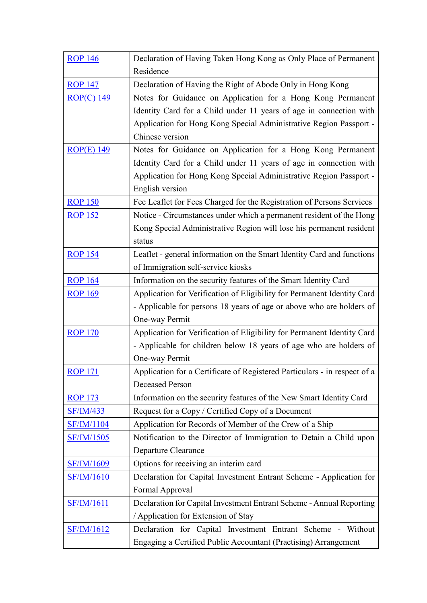| <b>ROP 146</b>    | Declaration of Having Taken Hong Kong as Only Place of Permanent          |
|-------------------|---------------------------------------------------------------------------|
|                   | Residence                                                                 |
| <b>ROP 147</b>    | Declaration of Having the Right of Abode Only in Hong Kong                |
| $ROP(C)$ 149      | Notes for Guidance on Application for a Hong Kong Permanent               |
|                   | Identity Card for a Child under 11 years of age in connection with        |
|                   | Application for Hong Kong Special Administrative Region Passport -        |
|                   | Chinese version                                                           |
| <b>ROP(E) 149</b> | Notes for Guidance on Application for a Hong Kong Permanent               |
|                   | Identity Card for a Child under 11 years of age in connection with        |
|                   | Application for Hong Kong Special Administrative Region Passport -        |
|                   | English version                                                           |
| <b>ROP 150</b>    | Fee Leaflet for Fees Charged for the Registration of Persons Services     |
| <b>ROP 152</b>    | Notice - Circumstances under which a permanent resident of the Hong       |
|                   | Kong Special Administrative Region will lose his permanent resident       |
|                   | status                                                                    |
| <b>ROP 154</b>    | Leaflet - general information on the Smart Identity Card and functions    |
|                   | of Immigration self-service kiosks                                        |
| <b>ROP 164</b>    | Information on the security features of the Smart Identity Card           |
| <b>ROP 169</b>    | Application for Verification of Eligibility for Permanent Identity Card   |
|                   | - Applicable for persons 18 years of age or above who are holders of      |
|                   | One-way Permit                                                            |
| <b>ROP 170</b>    | Application for Verification of Eligibility for Permanent Identity Card   |
|                   | - Applicable for children below 18 years of age who are holders of        |
|                   | One-way Permit                                                            |
| <b>ROP 171</b>    | Application for a Certificate of Registered Particulars - in respect of a |
|                   | <b>Deceased Person</b>                                                    |
| <b>ROP 173</b>    | Information on the security features of the New Smart Identity Card       |
| <b>SF/IM/433</b>  | Request for a Copy / Certified Copy of a Document                         |
| <b>SF/IM/1104</b> | Application for Records of Member of the Crew of a Ship                   |
| <b>SF/IM/1505</b> | Notification to the Director of Immigration to Detain a Child upon        |
|                   | Departure Clearance                                                       |
| <b>SF/IM/1609</b> | Options for receiving an interim card                                     |
| <b>SF/IM/1610</b> | Declaration for Capital Investment Entrant Scheme - Application for       |
|                   | Formal Approval                                                           |
| <b>SF/IM/1611</b> | Declaration for Capital Investment Entrant Scheme - Annual Reporting      |
|                   | / Application for Extension of Stay                                       |
| <b>SF/IM/1612</b> | Declaration for Capital Investment Entrant Scheme - Without               |
|                   | Engaging a Certified Public Accountant (Practising) Arrangement           |